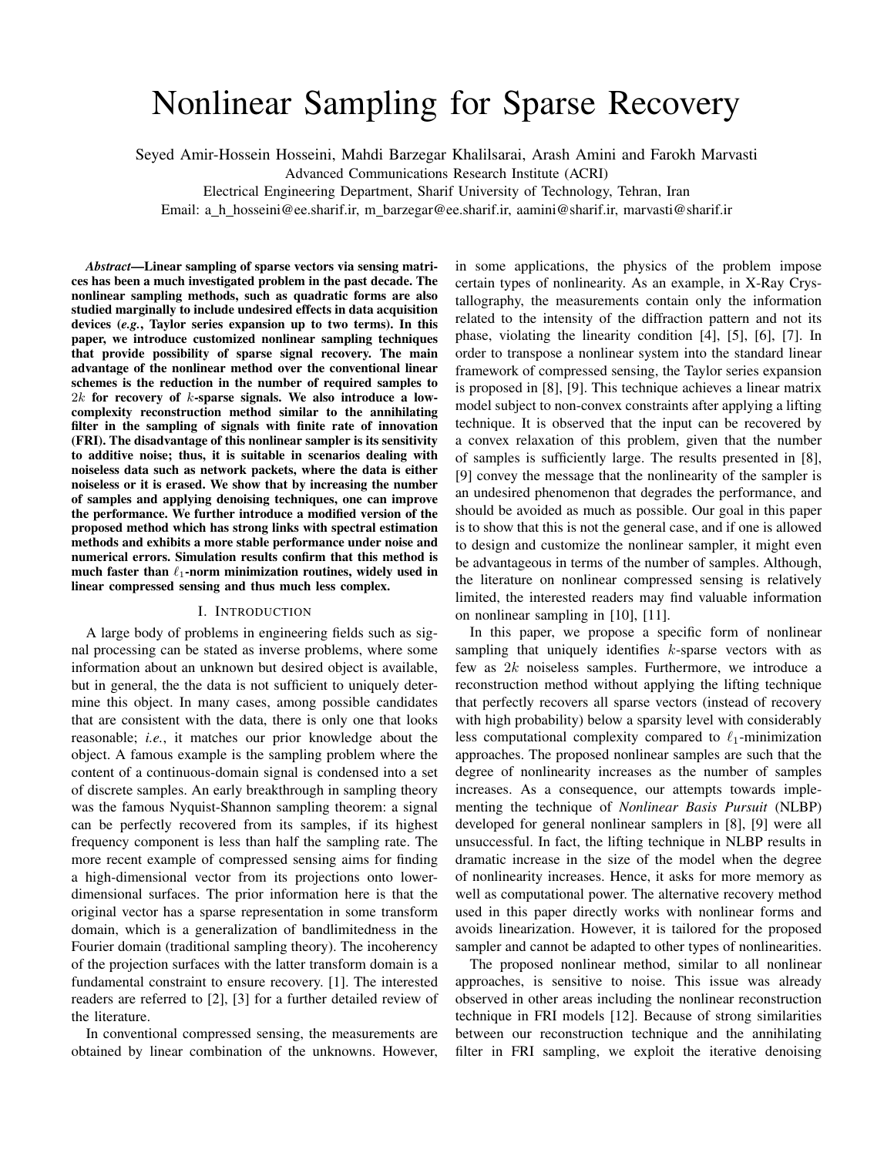# Nonlinear Sampling for Sparse Recovery

Seyed Amir-Hossein Hosseini, Mahdi Barzegar Khalilsarai, Arash Amini and Farokh Marvasti

Advanced Communications Research Institute (ACRI)

Electrical Engineering Department, Sharif University of Technology, Tehran, Iran

Email: a\_h\_hosseini@ee.sharif.ir, m\_barzegar@ee.sharif.ir, aamini@sharif.ir, marvasti@sharif.ir

*Abstract*—Linear sampling of sparse vectors via sensing matrices has been a much investigated problem in the past decade. The nonlinear sampling methods, such as quadratic forms are also studied marginally to include undesired effects in data acquisition devices (*e.g.*, Taylor series expansion up to two terms). In this paper, we introduce customized nonlinear sampling techniques that provide possibility of sparse signal recovery. The main advantage of the nonlinear method over the conventional linear schemes is the reduction in the number of required samples to  $2k$  for recovery of  $k$ -sparse signals. We also introduce a lowcomplexity reconstruction method similar to the annihilating filter in the sampling of signals with finite rate of innovation (FRI). The disadvantage of this nonlinear sampler is its sensitivity to additive noise; thus, it is suitable in scenarios dealing with noiseless data such as network packets, where the data is either noiseless or it is erased. We show that by increasing the number of samples and applying denoising techniques, one can improve the performance. We further introduce a modified version of the proposed method which has strong links with spectral estimation methods and exhibits a more stable performance under noise and numerical errors. Simulation results confirm that this method is much faster than  $\ell_1$ -norm minimization routines, widely used in linear compressed sensing and thus much less complex.

## I. INTRODUCTION

A large body of problems in engineering fields such as signal processing can be stated as inverse problems, where some information about an unknown but desired object is available, but in general, the the data is not sufficient to uniquely determine this object. In many cases, among possible candidates that are consistent with the data, there is only one that looks reasonable; *i.e.*, it matches our prior knowledge about the object. A famous example is the sampling problem where the content of a continuous-domain signal is condensed into a set of discrete samples. An early breakthrough in sampling theory was the famous Nyquist-Shannon sampling theorem: a signal can be perfectly recovered from its samples, if its highest frequency component is less than half the sampling rate. The more recent example of compressed sensing aims for finding a high-dimensional vector from its projections onto lowerdimensional surfaces. The prior information here is that the original vector has a sparse representation in some transform domain, which is a generalization of bandlimitedness in the Fourier domain (traditional sampling theory). The incoherency of the projection surfaces with the latter transform domain is a fundamental constraint to ensure recovery. [1]. The interested readers are referred to [2], [3] for a further detailed review of the literature.

In conventional compressed sensing, the measurements are obtained by linear combination of the unknowns. However, in some applications, the physics of the problem impose certain types of nonlinearity. As an example, in X-Ray Crystallography, the measurements contain only the information related to the intensity of the diffraction pattern and not its phase, violating the linearity condition [4], [5], [6], [7]. In order to transpose a nonlinear system into the standard linear framework of compressed sensing, the Taylor series expansion is proposed in [8], [9]. This technique achieves a linear matrix model subject to non-convex constraints after applying a lifting technique. It is observed that the input can be recovered by a convex relaxation of this problem, given that the number of samples is sufficiently large. The results presented in [8], [9] convey the message that the nonlinearity of the sampler is an undesired phenomenon that degrades the performance, and should be avoided as much as possible. Our goal in this paper is to show that this is not the general case, and if one is allowed to design and customize the nonlinear sampler, it might even be advantageous in terms of the number of samples. Although, the literature on nonlinear compressed sensing is relatively limited, the interested readers may find valuable information on nonlinear sampling in [10], [11].

In this paper, we propose a specific form of nonlinear sampling that uniquely identifies  $k$ -sparse vectors with as few as  $2k$  noiseless samples. Furthermore, we introduce a reconstruction method without applying the lifting technique that perfectly recovers all sparse vectors (instead of recovery with high probability) below a sparsity level with considerably less computational complexity compared to  $\ell_1$ -minimization approaches. The proposed nonlinear samples are such that the degree of nonlinearity increases as the number of samples increases. As a consequence, our attempts towards implementing the technique of *Nonlinear Basis Pursuit* (NLBP) developed for general nonlinear samplers in [8], [9] were all unsuccessful. In fact, the lifting technique in NLBP results in dramatic increase in the size of the model when the degree of nonlinearity increases. Hence, it asks for more memory as well as computational power. The alternative recovery method used in this paper directly works with nonlinear forms and avoids linearization. However, it is tailored for the proposed sampler and cannot be adapted to other types of nonlinearities.

The proposed nonlinear method, similar to all nonlinear approaches, is sensitive to noise. This issue was already observed in other areas including the nonlinear reconstruction technique in FRI models [12]. Because of strong similarities between our reconstruction technique and the annihilating filter in FRI sampling, we exploit the iterative denoising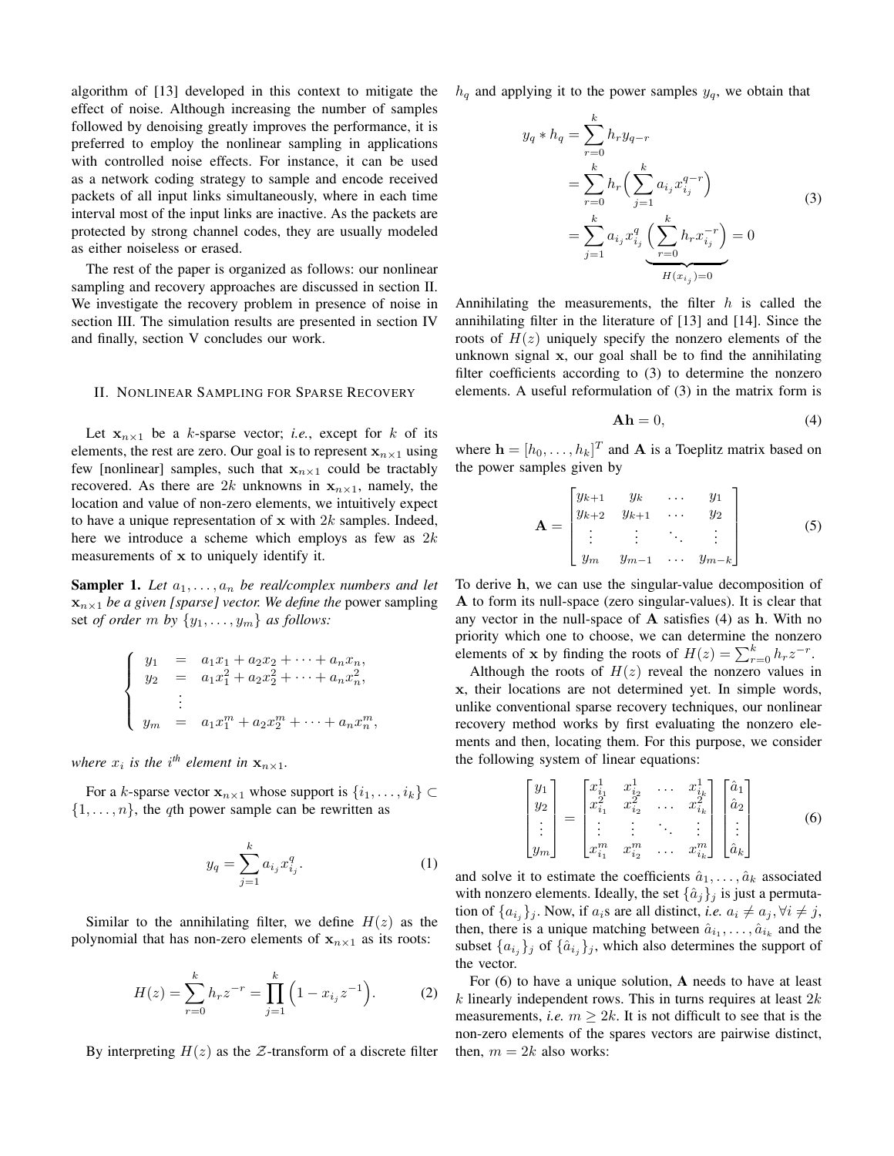algorithm of [13] developed in this context to mitigate the effect of noise. Although increasing the number of samples followed by denoising greatly improves the performance, it is preferred to employ the nonlinear sampling in applications with controlled noise effects. For instance, it can be used as a network coding strategy to sample and encode received packets of all input links simultaneously, where in each time interval most of the input links are inactive. As the packets are protected by strong channel codes, they are usually modeled as either noiseless or erased.

The rest of the paper is organized as follows: our nonlinear sampling and recovery approaches are discussed in section II. We investigate the recovery problem in presence of noise in section III. The simulation results are presented in section IV and finally, section V concludes our work.

## II. NONLINEAR SAMPLING FOR SPARSE RECOVERY

Let  $x_{n\times 1}$  be a k-sparse vector; *i.e.*, except for k of its elements, the rest are zero. Our goal is to represent  $x_{n\times 1}$  using few [nonlinear] samples, such that  $x_{n\times 1}$  could be tractably recovered. As there are 2k unknowns in  $x_{n\times 1}$ , namely, the location and value of non-zero elements, we intuitively expect to have a unique representation of  $x$  with  $2k$  samples. Indeed, here we introduce a scheme which employs as few as  $2k$ measurements of x to uniquely identify it.

**Sampler 1.** Let  $a_1, \ldots, a_n$  be real/complex numbers and let  $x_{n\times 1}$  *be a given [sparse] vector. We define the* power sampling set *of order*  $m$  *by*  $\{y_1, \ldots, y_m\}$  *as follows:* 

$$
\begin{cases}\n y_1 = a_1x_1 + a_2x_2 + \dots + a_nx_n, \\
 y_2 = a_1x_1^2 + a_2x_2^2 + \dots + a_nx_n^2, \\
 \vdots \\
 y_m = a_1x_1^m + a_2x_2^m + \dots + a_nx_n^m,\n\end{cases}
$$

where  $x_i$  is the i<sup>th</sup> element in  $x_{n \times 1}$ .

For a k-sparse vector  $\mathbf{x}_{n\times1}$  whose support is  $\{i_1, \ldots, i_k\} \subset$  $\{1, \ldots, n\}$ , the qth power sample can be rewritten as

$$
y_q = \sum_{j=1}^k a_{i_j} x_{i_j}^q.
$$
 (1)

Similar to the annihilating filter, we define  $H(z)$  as the polynomial that has non-zero elements of  $x_{n\times 1}$  as its roots:

$$
H(z) = \sum_{r=0}^{k} h_r z^{-r} = \prod_{j=1}^{k} \left( 1 - x_{i_j} z^{-1} \right). \tag{2}
$$

By interpreting  $H(z)$  as the  $\mathcal Z$ -transform of a discrete filter

 $h_q$  and applying it to the power samples  $y_q$ , we obtain that

$$
y_q * h_q = \sum_{r=0}^k h_r y_{q-r}
$$
  
= 
$$
\sum_{r=0}^k h_r \Big( \sum_{j=1}^k a_{i_j} x_{i_j}^{q-r} \Big)
$$
  
= 
$$
\sum_{j=1}^k a_{i_j} x_{i_j}^q \Big( \sum_{r=0}^k h_r x_{i_j}^{-r} \Big) = 0
$$
  

$$
H(x_{i_j}) = 0
$$
 (3)

Annihilating the measurements, the filter  $h$  is called the annihilating filter in the literature of [13] and [14]. Since the roots of  $H(z)$  uniquely specify the nonzero elements of the unknown signal x, our goal shall be to find the annihilating filter coefficients according to (3) to determine the nonzero elements. A useful reformulation of (3) in the matrix form is

$$
Ah = 0,\t(4)
$$

where  $\mathbf{h} = [h_0, \dots, h_k]^T$  and **A** is a Toeplitz matrix based on the power samples given by

$$
\mathbf{A} = \begin{bmatrix} y_{k+1} & y_k & \cdots & y_1 \\ y_{k+2} & y_{k+1} & \cdots & y_2 \\ \vdots & \vdots & \ddots & \vdots \\ y_m & y_{m-1} & \cdots & y_{m-k} \end{bmatrix}
$$
 (5)

To derive h, we can use the singular-value decomposition of A to form its null-space (zero singular-values). It is clear that any vector in the null-space of  $A$  satisfies (4) as  $h$ . With no priority which one to choose, we can determine the nonzero elements of **x** by finding the roots of  $H(z) = \sum_{r=0}^{k} h_r z^{-r}$ .

Although the roots of  $H(z)$  reveal the nonzero values in x, their locations are not determined yet. In simple words, unlike conventional sparse recovery techniques, our nonlinear recovery method works by first evaluating the nonzero elements and then, locating them. For this purpose, we consider the following system of linear equations:

$$
\begin{bmatrix} y_1 \\ y_2 \\ \vdots \\ y_m \end{bmatrix} = \begin{bmatrix} x_{i_1}^1 & x_{i_2}^1 & \dots & x_{i_k}^1 \\ x_{i_1}^2 & x_{i_2}^2 & \dots & x_{i_k}^2 \\ \vdots & \vdots & \ddots & \vdots \\ x_{i_1}^m & x_{i_2}^m & \dots & x_{i_k}^m \end{bmatrix} \begin{bmatrix} \hat{a}_1 \\ \hat{a}_2 \\ \vdots \\ \hat{a}_k \end{bmatrix}
$$
 (6)

and solve it to estimate the coefficients  $\hat{a}_1, \dots, \hat{a}_k$  associated with nonzero elements. Ideally, the set  $\{\hat{a}_j\}_j$  is just a permutation of  $\{a_{i_j}\}_j$ . Now, if  $a_i$ s are all distinct, *i.e.*  $a_i \neq a_j, \forall i \neq j$ , then, there is a unique matching between  $\hat{a}_{i_1}, \dots, \hat{a}_{i_k}$  and the subset  $\{a_{i_j}\}_j$  of  $\{\hat{a}_{i_j}\}_j$ , which also determines the support of the vector.

For (6) to have a unique solution, A needs to have at least  $k$  linearly independent rows. This in turns requires at least  $2k$ measurements, *i.e.*  $m > 2k$ . It is not difficult to see that is the non-zero elements of the spares vectors are pairwise distinct, then,  $m = 2k$  also works: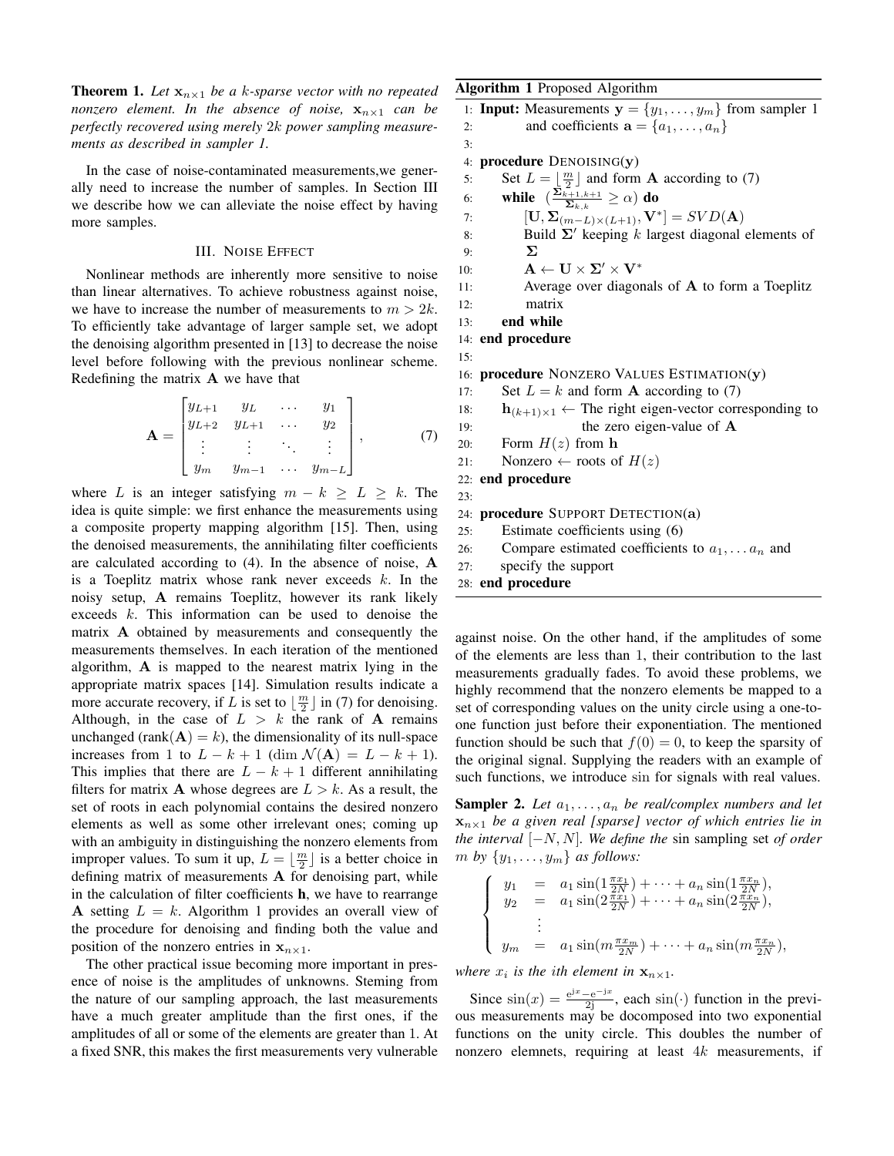**Theorem 1.** Let  $\mathbf{x}_{n\times1}$  be a k-sparse vector with no repeated *nonzero element. In the absence of noise,*  $\mathbf{x}_{n\times1}$  *can be perfectly recovered using merely* 2k *power sampling measurements as described in sampler 1.*

In the case of noise-contaminated measurements,we generally need to increase the number of samples. In Section III we describe how we can alleviate the noise effect by having more samples.

## III. NOISE EFFECT

Nonlinear methods are inherently more sensitive to noise than linear alternatives. To achieve robustness against noise, we have to increase the number of measurements to  $m > 2k$ . To efficiently take advantage of larger sample set, we adopt the denoising algorithm presented in [13] to decrease the noise level before following with the previous nonlinear scheme. Redefining the matrix A we have that

$$
\mathbf{A} = \begin{bmatrix} y_{L+1} & y_L & \cdots & y_1 \\ y_{L+2} & y_{L+1} & \cdots & y_2 \\ \vdots & \vdots & \ddots & \vdots \\ y_m & y_{m-1} & \cdots & y_{m-L} \end{bmatrix}, \quad (7)
$$

where L is an integer satisfying  $m - k \geq L \geq k$ . The idea is quite simple: we first enhance the measurements using a composite property mapping algorithm [15]. Then, using the denoised measurements, the annihilating filter coefficients are calculated according to (4). In the absence of noise, A is a Toeplitz matrix whose rank never exceeds  $k$ . In the noisy setup, A remains Toeplitz, however its rank likely exceeds  $k$ . This information can be used to denoise the matrix A obtained by measurements and consequently the measurements themselves. In each iteration of the mentioned algorithm, A is mapped to the nearest matrix lying in the appropriate matrix spaces [14]. Simulation results indicate a more accurate recovery, if L is set to  $\lfloor \frac{m}{2} \rfloor$  in (7) for denoising. Although, in the case of  $L > k$  the rank of **A** remains unchanged (rank $(A) = k$ ), the dimensionality of its null-space increases from 1 to  $L - k + 1$  (dim  $\mathcal{N}(\mathbf{A}) = L - k + 1$ ). This implies that there are  $L - k + 1$  different annihilating filters for matrix **A** whose degrees are  $L > k$ . As a result, the set of roots in each polynomial contains the desired nonzero elements as well as some other irrelevant ones; coming up with an ambiguity in distinguishing the nonzero elements from improper values. To sum it up,  $L = \lfloor \frac{m}{2} \rfloor$  is a better choice in defining matrix of measurements A for denoising part, while in the calculation of filter coefficients h, we have to rearrange A setting  $L = k$ . Algorithm 1 provides an overall view of the procedure for denoising and finding both the value and position of the nonzero entries in  $x_{n\times 1}$ .

The other practical issue becoming more important in presence of noise is the amplitudes of unknowns. Steming from the nature of our sampling approach, the last measurements have a much greater amplitude than the first ones, if the amplitudes of all or some of the elements are greater than 1. At a fixed SNR, this makes the first measurements very vulnerable

## Algorithm 1 Proposed Algorithm

```
1: Input: Measurements y = \{y_1, \ldots, y_m\} from sampler 1
 2: and coefficients \mathbf{a} = \{a_1, \ldots, a_n\}3:
 4: procedure DENOISING(y)
 5: Set L = \lfloor \frac{m}{2} \rfloor and form A according to (7)
 6: while \left(\frac{\sum_{k=1,k+1}^{n} x_k}{\sum_{k=1}^{n} x_k}\right)\frac{\sum\limits_{k=1}^{k+1}k+1}{\sum\limits_{k=1}^{k}}\geq\alpha) do
 7: \left[\mathbf{U}, \boldsymbol{\Sigma}_{(m-L)\times(L+1)}, \mathbf{V}^*\right] = SVD(\mathbf{A})8: Build \Sigma' keeping k largest diagonal elements of
 9: Σ
10: \mathbf{A} \leftarrow \mathbf{U} \times \mathbf{\Sigma}' \times \mathbf{V}^*11: Average over diagonals of A to form a Toeplitz
12: matrix
13: end while
14: end procedure
15:
16: procedure NONZERO VALUES ESTIMATION(y)
17: Set L = k and form A according to (7)
18: h_{(k+1)\times 1} \leftarrow The right eigen-vector corresponding to
19: the zero eigen-value of A
20: Form H(z) from h
21: Nonzero \leftarrow roots of H(z)22: end procedure
23:
24: procedure SUPPORT DETECTION(a)
25: Estimate coefficients using (6)
26: Compare estimated coefficients to a_1, \ldots, a_n and
27: specify the support
```
28: end procedure

against noise. On the other hand, if the amplitudes of some of the elements are less than 1, their contribution to the last measurements gradually fades. To avoid these problems, we highly recommend that the nonzero elements be mapped to a set of corresponding values on the unity circle using a one-toone function just before their exponentiation. The mentioned function should be such that  $f(0) = 0$ , to keep the sparsity of the original signal. Supplying the readers with an example of such functions, we introduce sin for signals with real values.

**Sampler 2.** Let  $a_1, \ldots, a_n$  be real/complex numbers and let  $x_{n\times1}$  *be a given real [sparse] vector of which entries lie in the interval* [−N, N]*. We define the* sin sampling set *of order m by*  $\{y_1, \ldots, y_m\}$  *as follows:* 

$$
\begin{cases}\n y_1 = a_1 \sin(1 \frac{\pi x_1}{2N}) + \dots + a_n \sin(1 \frac{\pi x_n}{2N}), \\
 y_2 = a_1 \sin(2 \frac{\pi x_1}{2N}) + \dots + a_n \sin(2 \frac{\pi x_n}{2N}), \\
 \vdots \\
 y_m = a_1 \sin(m \frac{\pi x_m}{2N}) + \dots + a_n \sin(m \frac{\pi x_n}{2N}),\n\end{cases}
$$

*where*  $x_i$  *is the ith element in*  $\mathbf{x}_{n \times 1}$ *.* 

Since  $\sin(x) = \frac{e^{jx} - e^{-jx}}{2j}$ , each  $\sin(\cdot)$  function in the previous measurements may be docomposed into two exponential functions on the unity circle. This doubles the number of nonzero elemnets, requiring at least  $4k$  measurements, if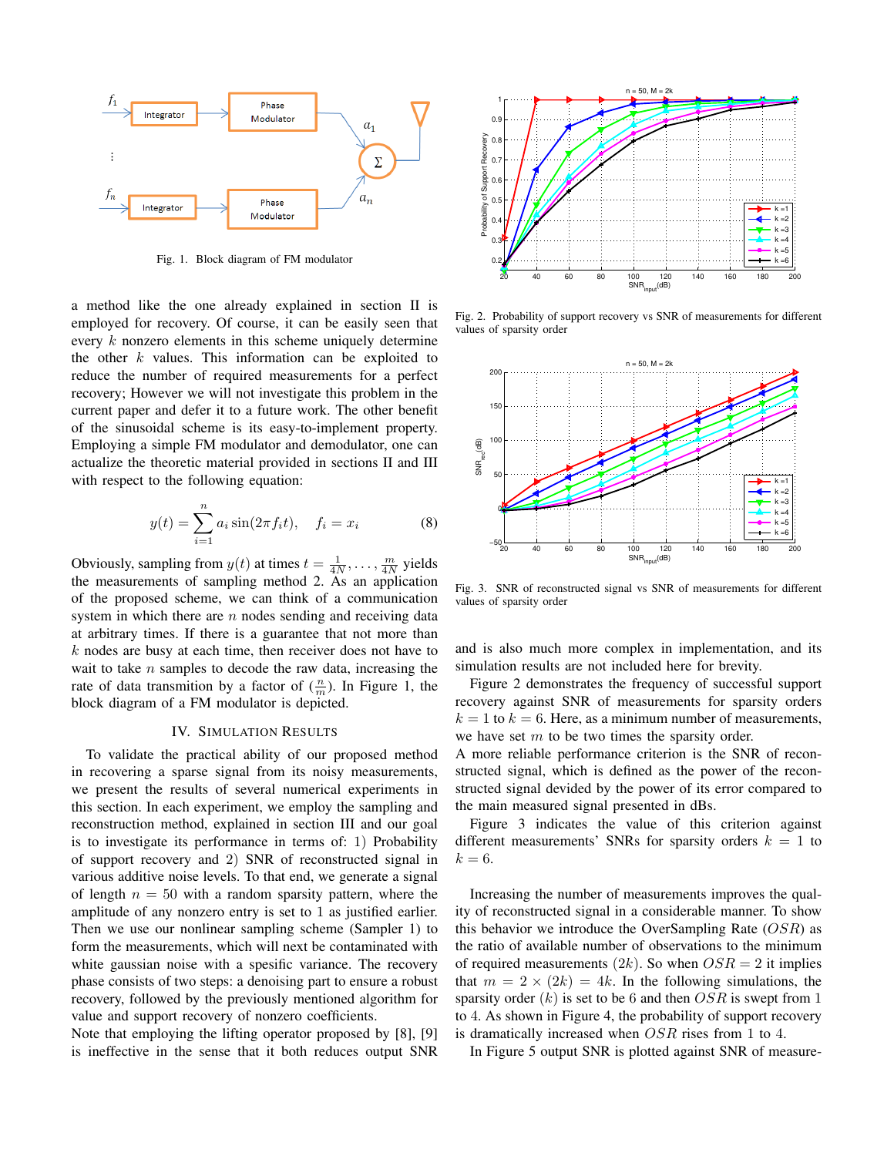

Fig. 1. Block diagram of FM modulator

a method like the one already explained in section II is employed for recovery. Of course, it can be easily seen that every k nonzero elements in this scheme uniquely determine the other  $k$  values. This information can be exploited to reduce the number of required measurements for a perfect recovery; However we will not investigate this problem in the current paper and defer it to a future work. The other benefit of the sinusoidal scheme is its easy-to-implement property. Employing a simple FM modulator and demodulator, one can actualize the theoretic material provided in sections II and III with respect to the following equation:

$$
y(t) = \sum_{i=1}^{n} a_i \sin(2\pi f_i t), \quad f_i = x_i
$$
 (8)

Obviously, sampling from  $y(t)$  at times  $t = \frac{1}{4N}, \dots, \frac{m}{4N}$  yields the measurements of sampling method 2. As an application of the proposed scheme, we can think of a communication system in which there are  $n$  nodes sending and receiving data at arbitrary times. If there is a guarantee that not more than  $k$  nodes are busy at each time, then receiver does not have to wait to take  $n$  samples to decode the raw data, increasing the rate of data transmition by a factor of  $(\frac{n}{m})$ . In Figure 1, the block diagram of a FM modulator is depicted.

## IV. SIMULATION RESULTS

To validate the practical ability of our proposed method in recovering a sparse signal from its noisy measurements, we present the results of several numerical experiments in this section. In each experiment, we employ the sampling and reconstruction method, explained in section III and our goal is to investigate its performance in terms of: 1) Probability of support recovery and 2) SNR of reconstructed signal in various additive noise levels. To that end, we generate a signal of length  $n = 50$  with a random sparsity pattern, where the amplitude of any nonzero entry is set to 1 as justified earlier. Then we use our nonlinear sampling scheme (Sampler 1) to form the measurements, which will next be contaminated with white gaussian noise with a spesific variance. The recovery phase consists of two steps: a denoising part to ensure a robust recovery, followed by the previously mentioned algorithm for value and support recovery of nonzero coefficients.

Note that employing the lifting operator proposed by [8], [9] is ineffective in the sense that it both reduces output SNR



Fig. 2. Probability of support recovery vs SNR of measurements for different values of sparsity order



Fig. 3. SNR of reconstructed signal vs SNR of measurements for different values of sparsity order

and is also much more complex in implementation, and its simulation results are not included here for brevity.

Figure 2 demonstrates the frequency of successful support recovery against SNR of measurements for sparsity orders  $k = 1$  to  $k = 6$ . Here, as a minimum number of measurements, we have set  $m$  to be two times the sparsity order.

A more reliable performance criterion is the SNR of reconstructed signal, which is defined as the power of the reconstructed signal devided by the power of its error compared to the main measured signal presented in dBs.

Figure 3 indicates the value of this criterion against different measurements' SNRs for sparsity orders  $k = 1$  to  $k=6$ .

Increasing the number of measurements improves the quality of reconstructed signal in a considerable manner. To show this behavior we introduce the OverSampling Rate  $(OSR)$  as the ratio of available number of observations to the minimum of required measurements  $(2k)$ . So when  $OSR = 2$  it implies that  $m = 2 \times (2k) = 4k$ . In the following simulations, the sparsity order  $(k)$  is set to be 6 and then  $OSR$  is swept from 1 to 4. As shown in Figure 4, the probability of support recovery is dramatically increased when OSR rises from 1 to 4.

In Figure 5 output SNR is plotted against SNR of measure-